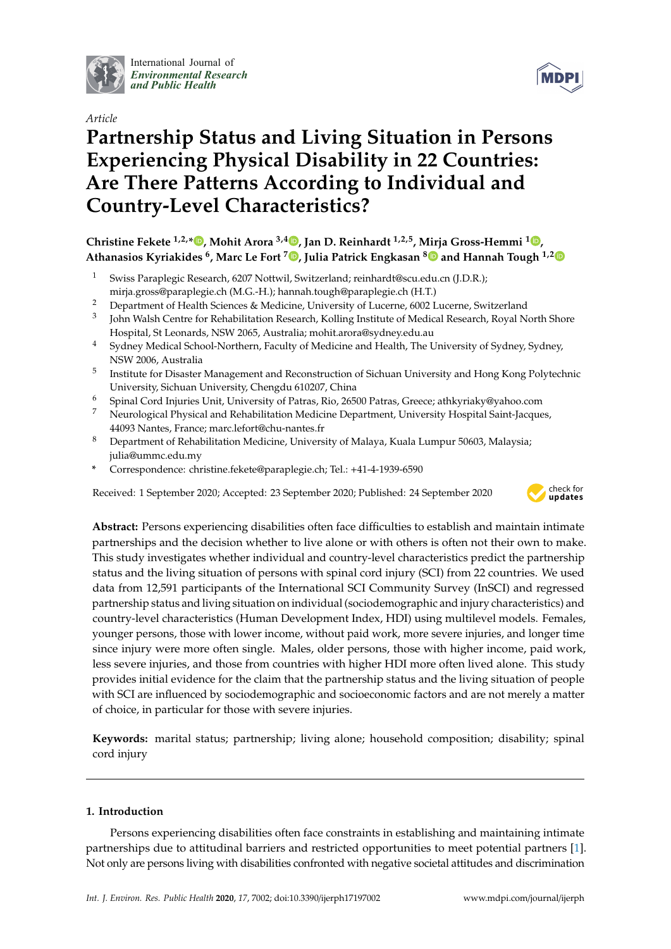

International Journal of *[Environmental Research](http://www.mdpi.com/journal/ijerph) and Public Health*





# **Partnership Status and Living Situation in Persons Experiencing Physical Disability in 22 Countries: Are There Patterns According to Individual and Country-Level Characteristics?**

**Christine Fekete 1,2,\* [,](https://orcid.org/0000-0002-3753-3017) Mohit Arora 3,4 [,](https://orcid.org/0000-0003-1024-3682) Jan D. Reinhardt 1,2,5, Mirja Gross-Hemmi <sup>1</sup> [,](https://orcid.org/0000-0002-2231-6538) Athanasios Kyriakides <sup>6</sup> , Marc Le Fort <sup>7</sup> [,](https://orcid.org/0000-0002-6360-2004) Julia Patrick Engkasan [8](https://orcid.org/0000-0003-0599-4908) and Hannah Tough 1,[2](https://orcid.org/0000-0002-6213-9150)**

- <sup>1</sup> Swiss Paraplegic Research, 6207 Nottwil, Switzerland; reinhardt@scu.edu.cn (J.D.R.); mirja.gross@paraplegie.ch (M.G.-H.); hannah.tough@paraplegie.ch (H.T.)
- <sup>2</sup> Department of Health Sciences & Medicine, University of Lucerne, 6002 Lucerne, Switzerland
- 3 John Walsh Centre for Rehabilitation Research, Kolling Institute of Medical Research, Royal North Shore Hospital, St Leonards, NSW 2065, Australia; mohit.arora@sydney.edu.au
- <sup>4</sup> Sydney Medical School-Northern, Faculty of Medicine and Health, The University of Sydney, Sydney, NSW 2006, Australia
- 5 Institute for Disaster Management and Reconstruction of Sichuan University and Hong Kong Polytechnic University, Sichuan University, Chengdu 610207, China
- <sup>6</sup> Spinal Cord Injuries Unit, University of Patras, Rio, 26500 Patras, Greece; athkyriaky@yahoo.com
- <sup>7</sup> Neurological Physical and Rehabilitation Medicine Department, University Hospital Saint-Jacques, 44093 Nantes, France; marc.lefort@chu-nantes.fr
- <sup>8</sup> Department of Rehabilitation Medicine, University of Malaya, Kuala Lumpur 50603, Malaysia; julia@ummc.edu.my
- **\*** Correspondence: christine.fekete@paraplegie.ch; Tel.: +41-4-1939-6590

Received: 1 September 2020; Accepted: 23 September 2020; Published: 24 September 2020



**Abstract:** Persons experiencing disabilities often face difficulties to establish and maintain intimate partnerships and the decision whether to live alone or with others is often not their own to make. This study investigates whether individual and country-level characteristics predict the partnership status and the living situation of persons with spinal cord injury (SCI) from 22 countries. We used data from 12,591 participants of the International SCI Community Survey (InSCI) and regressed partnership status and living situation on individual (sociodemographic and injury characteristics) and country-level characteristics (Human Development Index, HDI) using multilevel models. Females, younger persons, those with lower income, without paid work, more severe injuries, and longer time since injury were more often single. Males, older persons, those with higher income, paid work, less severe injuries, and those from countries with higher HDI more often lived alone. This study provides initial evidence for the claim that the partnership status and the living situation of people with SCI are influenced by sociodemographic and socioeconomic factors and are not merely a matter of choice, in particular for those with severe injuries.

**Keywords:** marital status; partnership; living alone; household composition; disability; spinal cord injury

# **1. Introduction**

Persons experiencing disabilities often face constraints in establishing and maintaining intimate partnerships due to attitudinal barriers and restricted opportunities to meet potential partners [\[1\]](#page-9-0). Not only are persons living with disabilities confronted with negative societal attitudes and discrimination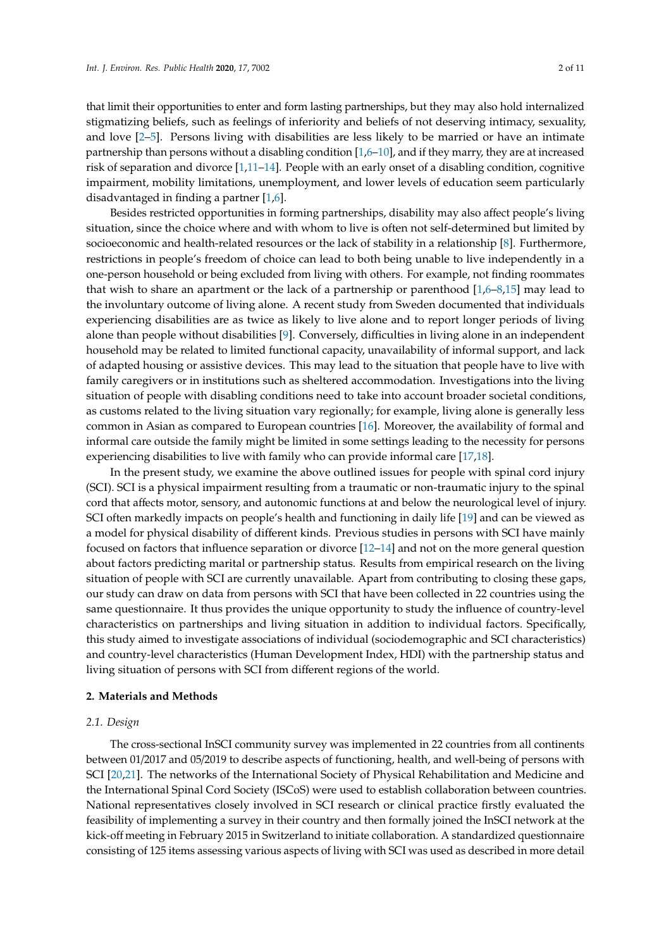that limit their opportunities to enter and form lasting partnerships, but they may also hold internalized stigmatizing beliefs, such as feelings of inferiority and beliefs of not deserving intimacy, sexuality, and love [\[2–](#page-9-1)[5\]](#page-9-2). Persons living with disabilities are less likely to be married or have an intimate partnership than persons without a disabling condition [\[1,](#page-9-0)[6](#page-9-3)[–10\]](#page-9-4), and if they marry, they are at increased risk of separation and divorce [\[1](#page-9-0)[,11](#page-9-5)[–14\]](#page-9-6). People with an early onset of a disabling condition, cognitive impairment, mobility limitations, unemployment, and lower levels of education seem particularly disadvantaged in finding a partner [\[1,](#page-9-0)[6\]](#page-9-3).

Besides restricted opportunities in forming partnerships, disability may also affect people's living situation, since the choice where and with whom to live is often not self-determined but limited by socioeconomic and health-related resources or the lack of stability in a relationship [\[8\]](#page-9-7). Furthermore, restrictions in people's freedom of choice can lead to both being unable to live independently in a one-person household or being excluded from living with others. For example, not finding roommates that wish to share an apartment or the lack of a partnership or parenthood [\[1](#page-9-0)[,6–](#page-9-3)[8](#page-9-7)[,15\]](#page-10-0) may lead to the involuntary outcome of living alone. A recent study from Sweden documented that individuals experiencing disabilities are as twice as likely to live alone and to report longer periods of living alone than people without disabilities [\[9\]](#page-9-8). Conversely, difficulties in living alone in an independent household may be related to limited functional capacity, unavailability of informal support, and lack of adapted housing or assistive devices. This may lead to the situation that people have to live with family caregivers or in institutions such as sheltered accommodation. Investigations into the living situation of people with disabling conditions need to take into account broader societal conditions, as customs related to the living situation vary regionally; for example, living alone is generally less common in Asian as compared to European countries [\[16\]](#page-10-1). Moreover, the availability of formal and informal care outside the family might be limited in some settings leading to the necessity for persons experiencing disabilities to live with family who can provide informal care [\[17](#page-10-2)[,18\]](#page-10-3).

In the present study, we examine the above outlined issues for people with spinal cord injury (SCI). SCI is a physical impairment resulting from a traumatic or non-traumatic injury to the spinal cord that affects motor, sensory, and autonomic functions at and below the neurological level of injury. SCI often markedly impacts on people's health and functioning in daily life [\[19\]](#page-10-4) and can be viewed as a model for physical disability of different kinds. Previous studies in persons with SCI have mainly focused on factors that influence separation or divorce [\[12](#page-9-9)[–14\]](#page-9-6) and not on the more general question about factors predicting marital or partnership status. Results from empirical research on the living situation of people with SCI are currently unavailable. Apart from contributing to closing these gaps, our study can draw on data from persons with SCI that have been collected in 22 countries using the same questionnaire. It thus provides the unique opportunity to study the influence of country-level characteristics on partnerships and living situation in addition to individual factors. Specifically, this study aimed to investigate associations of individual (sociodemographic and SCI characteristics) and country-level characteristics (Human Development Index, HDI) with the partnership status and living situation of persons with SCI from different regions of the world.

### **2. Materials and Methods**

# *2.1. Design*

The cross-sectional InSCI community survey was implemented in 22 countries from all continents between 01/2017 and 05/2019 to describe aspects of functioning, health, and well-being of persons with SCI [\[20](#page-10-5)[,21\]](#page-10-6). The networks of the International Society of Physical Rehabilitation and Medicine and the International Spinal Cord Society (ISCoS) were used to establish collaboration between countries. National representatives closely involved in SCI research or clinical practice firstly evaluated the feasibility of implementing a survey in their country and then formally joined the InSCI network at the kick-off meeting in February 2015 in Switzerland to initiate collaboration. A standardized questionnaire consisting of 125 items assessing various aspects of living with SCI was used as described in more detail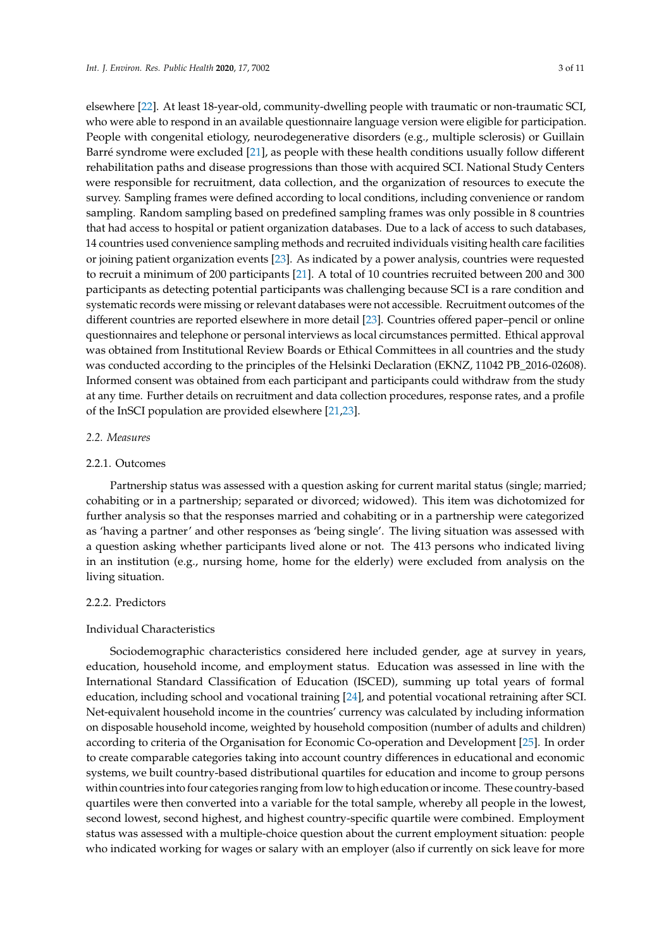elsewhere [\[22\]](#page-10-7). At least 18-year-old, community-dwelling people with traumatic or non-traumatic SCI, who were able to respond in an available questionnaire language version were eligible for participation. People with congenital etiology, neurodegenerative disorders (e.g., multiple sclerosis) or Guillain Barré syndrome were excluded [\[21\]](#page-10-6), as people with these health conditions usually follow different rehabilitation paths and disease progressions than those with acquired SCI. National Study Centers were responsible for recruitment, data collection, and the organization of resources to execute the survey. Sampling frames were defined according to local conditions, including convenience or random sampling. Random sampling based on predefined sampling frames was only possible in 8 countries that had access to hospital or patient organization databases. Due to a lack of access to such databases, 14 countries used convenience sampling methods and recruited individuals visiting health care facilities or joining patient organization events [\[23\]](#page-10-8). As indicated by a power analysis, countries were requested to recruit a minimum of 200 participants [\[21\]](#page-10-6). A total of 10 countries recruited between 200 and 300 participants as detecting potential participants was challenging because SCI is a rare condition and systematic records were missing or relevant databases were not accessible. Recruitment outcomes of the different countries are reported elsewhere in more detail [\[23\]](#page-10-8). Countries offered paper–pencil or online questionnaires and telephone or personal interviews as local circumstances permitted. Ethical approval was obtained from Institutional Review Boards or Ethical Committees in all countries and the study was conducted according to the principles of the Helsinki Declaration (EKNZ, 11042 PB\_2016-02608). Informed consent was obtained from each participant and participants could withdraw from the study at any time. Further details on recruitment and data collection procedures, response rates, and a profile of the InSCI population are provided elsewhere [\[21,](#page-10-6)[23\]](#page-10-8).

# *2.2. Measures*

#### 2.2.1. Outcomes

Partnership status was assessed with a question asking for current marital status (single; married; cohabiting or in a partnership; separated or divorced; widowed). This item was dichotomized for further analysis so that the responses married and cohabiting or in a partnership were categorized as 'having a partner' and other responses as 'being single'. The living situation was assessed with a question asking whether participants lived alone or not. The 413 persons who indicated living in an institution (e.g., nursing home, home for the elderly) were excluded from analysis on the living situation.

#### 2.2.2. Predictors

#### Individual Characteristics

Sociodemographic characteristics considered here included gender, age at survey in years, education, household income, and employment status. Education was assessed in line with the International Standard Classification of Education (ISCED), summing up total years of formal education, including school and vocational training [\[24\]](#page-10-9), and potential vocational retraining after SCI. Net-equivalent household income in the countries' currency was calculated by including information on disposable household income, weighted by household composition (number of adults and children) according to criteria of the Organisation for Economic Co-operation and Development [\[25\]](#page-10-10). In order to create comparable categories taking into account country differences in educational and economic systems, we built country-based distributional quartiles for education and income to group persons within countries into four categories ranging from low to high education or income. These country-based quartiles were then converted into a variable for the total sample, whereby all people in the lowest, second lowest, second highest, and highest country-specific quartile were combined. Employment status was assessed with a multiple-choice question about the current employment situation: people who indicated working for wages or salary with an employer (also if currently on sick leave for more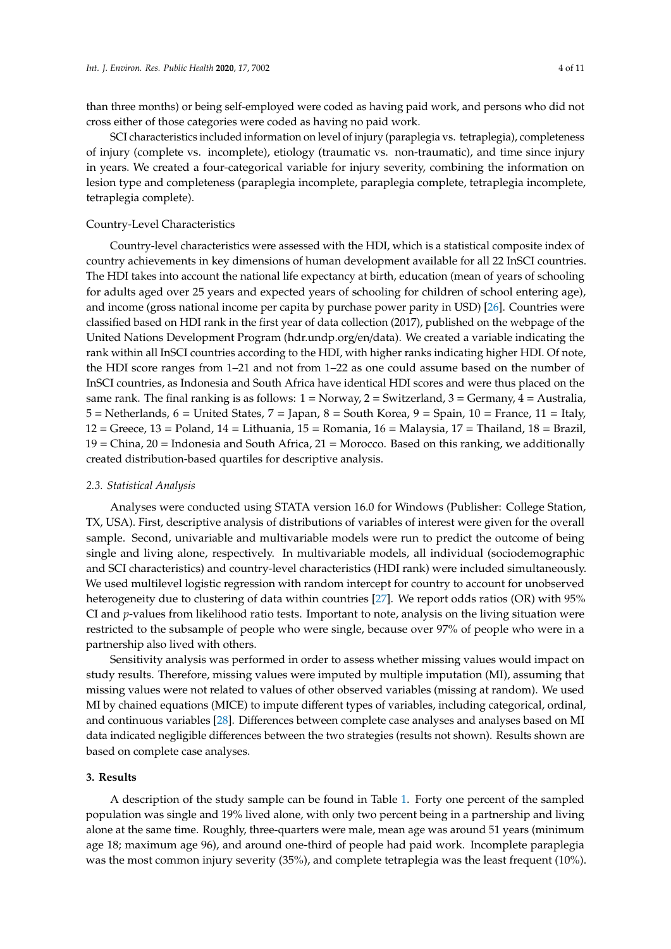than three months) or being self-employed were coded as having paid work, and persons who did not cross either of those categories were coded as having no paid work.

SCI characteristics included information on level of injury (paraplegia vs. tetraplegia), completeness of injury (complete vs. incomplete), etiology (traumatic vs. non-traumatic), and time since injury in years. We created a four-categorical variable for injury severity, combining the information on lesion type and completeness (paraplegia incomplete, paraplegia complete, tetraplegia incomplete, tetraplegia complete).

#### Country-Level Characteristics

Country-level characteristics were assessed with the HDI, which is a statistical composite index of country achievements in key dimensions of human development available for all 22 InSCI countries. The HDI takes into account the national life expectancy at birth, education (mean of years of schooling for adults aged over 25 years and expected years of schooling for children of school entering age), and income (gross national income per capita by purchase power parity in USD) [\[26\]](#page-10-11). Countries were classified based on HDI rank in the first year of data collection (2017), published on the webpage of the United Nations Development Program (hdr.undp.org/en/data). We created a variable indicating the rank within all InSCI countries according to the HDI, with higher ranks indicating higher HDI. Of note, the HDI score ranges from 1–21 and not from 1–22 as one could assume based on the number of InSCI countries, as Indonesia and South Africa have identical HDI scores and were thus placed on the same rank. The final ranking is as follows:  $1 = \text{Norway}, 2 = \text{Switzerland}, 3 = \text{Germany}, 4 = \text{Australia},$  $5 =$  Netherlands,  $6 =$  United States,  $7 =$  Japan,  $8 =$  South Korea,  $9 =$  Spain,  $10 =$  France,  $11 =$  Italy,  $12 =$  Greece,  $13 =$  Poland,  $14 =$  Lithuania,  $15 =$  Romania,  $16 =$  Malaysia,  $17 =$  Thailand,  $18 =$  Brazil,  $19 =$ China,  $20 =$ Indonesia and South Africa,  $21 =$ Morocco. Based on this ranking, we additionally created distribution-based quartiles for descriptive analysis.

#### *2.3. Statistical Analysis*

Analyses were conducted using STATA version 16.0 for Windows (Publisher: College Station, TX, USA). First, descriptive analysis of distributions of variables of interest were given for the overall sample. Second, univariable and multivariable models were run to predict the outcome of being single and living alone, respectively. In multivariable models, all individual (sociodemographic and SCI characteristics) and country-level characteristics (HDI rank) were included simultaneously. We used multilevel logistic regression with random intercept for country to account for unobserved heterogeneity due to clustering of data within countries [\[27\]](#page-10-12). We report odds ratios (OR) with 95% CI and *p*-values from likelihood ratio tests. Important to note, analysis on the living situation were restricted to the subsample of people who were single, because over 97% of people who were in a partnership also lived with others.

Sensitivity analysis was performed in order to assess whether missing values would impact on study results. Therefore, missing values were imputed by multiple imputation (MI), assuming that missing values were not related to values of other observed variables (missing at random). We used MI by chained equations (MICE) to impute different types of variables, including categorical, ordinal, and continuous variables [\[28\]](#page-10-13). Differences between complete case analyses and analyses based on MI data indicated negligible differences between the two strategies (results not shown). Results shown are based on complete case analyses.

#### **3. Results**

A description of the study sample can be found in Table [1.](#page-4-0) Forty one percent of the sampled population was single and 19% lived alone, with only two percent being in a partnership and living alone at the same time. Roughly, three-quarters were male, mean age was around 51 years (minimum age 18; maximum age 96), and around one-third of people had paid work. Incomplete paraplegia was the most common injury severity (35%), and complete tetraplegia was the least frequent (10%).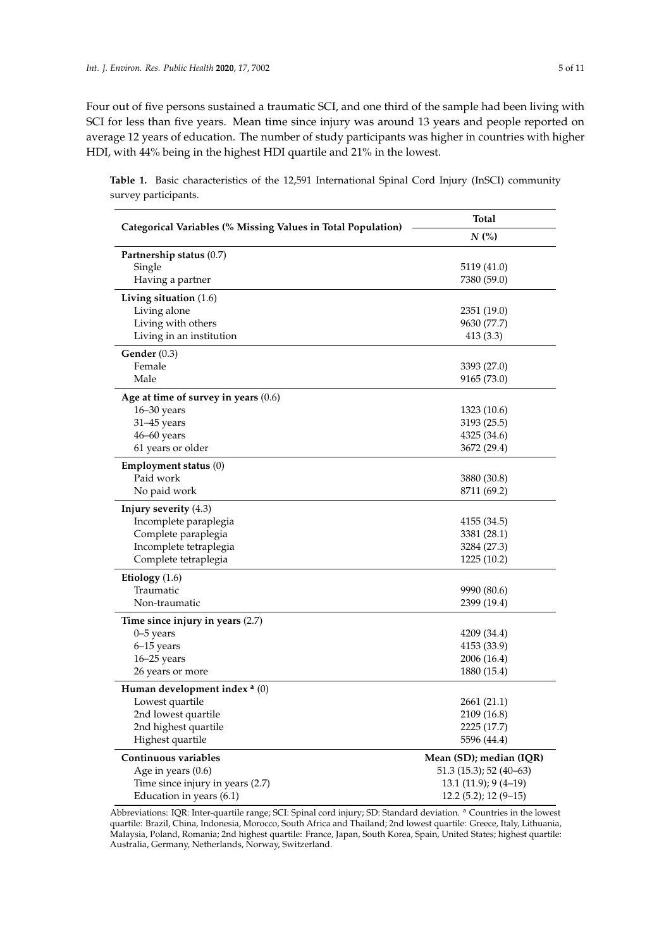Four out of five persons sustained a traumatic SCI, and one third of the sample had been living with SCI for less than five years. Mean time since injury was around 13 years and people reported on average 12 years of education. The number of study participants was higher in countries with higher HDI, with 44% being in the highest HDI quartile and 21% in the lowest.

<span id="page-4-0"></span>**Table 1.** Basic characteristics of the 12,591 International Spinal Cord Injury (InSCI) community survey participants.

|                                                                     | Total                      |
|---------------------------------------------------------------------|----------------------------|
| <b>Categorical Variables (% Missing Values in Total Population)</b> | $N$ (%)                    |
| Partnership status (0.7)                                            |                            |
| Single                                                              | 5119 (41.0)                |
| Having a partner                                                    | 7380 (59.0)                |
| Living situation $(1.6)$                                            |                            |
| Living alone                                                        | 2351 (19.0)                |
| Living with others                                                  | 9630 (77.7)                |
| Living in an institution                                            | 413(3.3)                   |
| Gender $(0.3)$                                                      |                            |
| Female                                                              | 3393 (27.0)                |
| Male                                                                | 9165 (73.0)                |
| Age at time of survey in years $(0.6)$                              |                            |
| $16 - 30$ years                                                     | 1323 (10.6)                |
| $31-45$ years                                                       | 3193 (25.5)                |
| 46-60 years                                                         | 4325 (34.6)                |
| 61 years or older                                                   | 3672 (29.4)                |
| Employment status (0)                                               |                            |
| Paid work                                                           | 3880 (30.8)                |
| No paid work                                                        | 8711 (69.2)                |
| Injury severity $(4.3)$                                             |                            |
| Incomplete paraplegia                                               | 4155 (34.5)                |
| Complete paraplegia                                                 | 3381 (28.1)                |
| Incomplete tetraplegia                                              | 3284 (27.3)                |
| Complete tetraplegia                                                | 1225 (10.2)                |
| Etiology $(1.6)$                                                    |                            |
| Traumatic                                                           | 9990 (80.6)                |
| Non-traumatic                                                       | 2399 (19.4)                |
| Time since injury in years $(2.7)$                                  |                            |
| $0-5$ years                                                         | 4209 (34.4)                |
| $6-15$ years                                                        | 4153 (33.9)                |
| $16 - 25$ years                                                     | 2006 (16.4)                |
| 26 years or more                                                    | 1880 (15.4)                |
| Human development index $a(0)$                                      |                            |
| Lowest quartile                                                     | 2661 (21.1)                |
| 2nd lowest quartile                                                 | 2109 (16.8)                |
| 2nd highest quartile                                                | 2225 (17.7)                |
| Highest quartile                                                    | 5596 (44.4)                |
| Continuous variables                                                | Mean (SD); median (IQR)    |
| Age in years (0.6)                                                  | $51.3(15.3)$ ; $52(40-63)$ |
| Time since injury in years (2.7)                                    | $13.1(11.9)$ ; 9 (4-19)    |
| Education in years (6.1)                                            | 12.2 (5.2); 12 (9-15)      |

Abbreviations: IQR: Inter-quartile range; SCI: Spinal cord injury; SD: Standard deviation. <sup>a</sup> Countries in the lowest quartile: Brazil, China, Indonesia, Morocco, South Africa and Thailand; 2nd lowest quartile: Greece, Italy, Lithuania, Malaysia, Poland, Romania; 2nd highest quartile: France, Japan, South Korea, Spain, United States; highest quartile: Australia, Germany, Netherlands, Norway, Switzerland.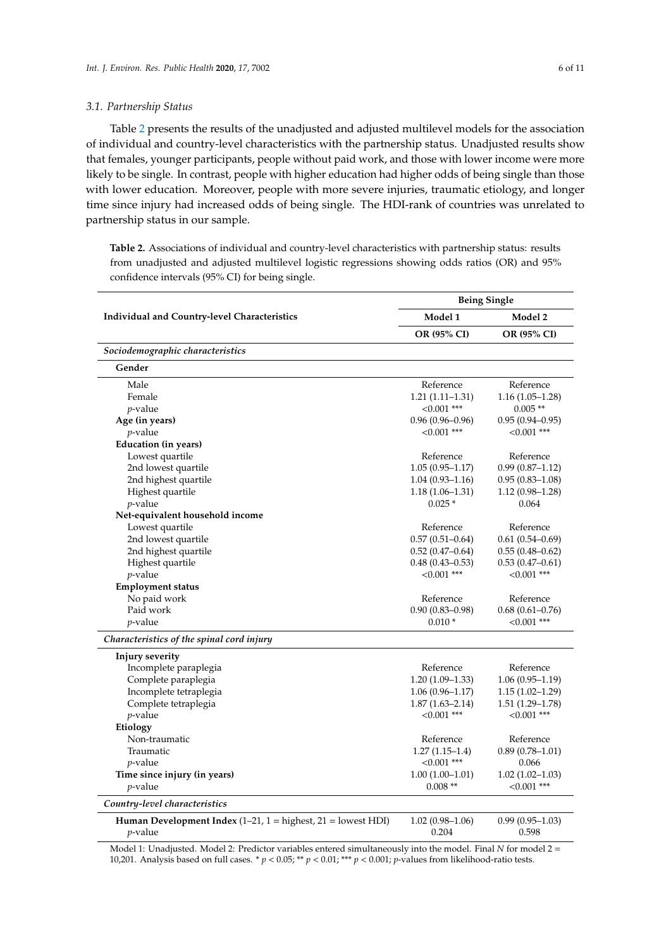## *3.1. Partnership Status*

Table [2](#page-5-0) presents the results of the unadjusted and adjusted multilevel models for the association of individual and country-level characteristics with the partnership status. Unadjusted results show that females, younger participants, people without paid work, and those with lower income were more likely to be single. In contrast, people with higher education had higher odds of being single than those with lower education. Moreover, people with more severe injuries, traumatic etiology, and longer time since injury had increased odds of being single. The HDI-rank of countries was unrelated to partnership status in our sample.

<span id="page-5-0"></span>**Table 2.** Associations of individual and country-level characteristics with partnership status: results from unadjusted and adjusted multilevel logistic regressions showing odds ratios (OR) and 95% confidence intervals (95% CI) for being single.

|                                                                  | <b>Being Single</b> |                     |
|------------------------------------------------------------------|---------------------|---------------------|
| Individual and Country-level Characteristics                     | Model 1             | Model 2             |
|                                                                  | OR (95% CI)         | OR (95% CI)         |
| Sociodemographic characteristics                                 |                     |                     |
| Gender                                                           |                     |                     |
| Male                                                             | Reference           | Reference           |
| Female                                                           | $1.21(1.11-1.31)$   | $1.16(1.05-1.28)$   |
| $p$ -value                                                       | $< 0.001$ ***       | $0.005**$           |
| Age (in years)                                                   | $0.96(0.96 - 0.96)$ | $0.95(0.94 - 0.95)$ |
| $p$ -value                                                       | $< 0.001$ ***       | $< 0.001$ ***       |
| Education (in years)                                             |                     |                     |
| Lowest quartile                                                  | Reference           | Reference           |
| 2nd lowest quartile                                              | $1.05(0.95 - 1.17)$ | $0.99(0.87 - 1.12)$ |
| 2nd highest quartile                                             | $1.04(0.93 - 1.16)$ | $0.95(0.83 - 1.08)$ |
| Highest quartile                                                 | $1.18(1.06-1.31)$   | $1.12(0.98-1.28)$   |
| $p$ -value                                                       | $0.025*$            | 0.064               |
| Net-equivalent household income                                  |                     |                     |
| Lowest quartile                                                  | Reference           | Reference           |
| 2nd lowest quartile                                              | $0.57(0.51 - 0.64)$ | $0.61(0.54 - 0.69)$ |
| 2nd highest quartile                                             | $0.52(0.47-0.64)$   | $0.55(0.48 - 0.62)$ |
| Highest quartile                                                 | $0.48(0.43 - 0.53)$ | $0.53(0.47 - 0.61)$ |
| $p$ -value                                                       | $< 0.001$ ***       | $< 0.001$ ***       |
| <b>Employment status</b>                                         |                     |                     |
| No paid work                                                     | Reference           | Reference           |
| Paid work                                                        | $0.90(0.83 - 0.98)$ | $0.68(0.61 - 0.76)$ |
| <i>p</i> -value                                                  | $0.010*$            | $< 0.001$ ***       |
| Characteristics of the spinal cord injury                        |                     |                     |
| <b>Injury severity</b>                                           |                     |                     |
| Incomplete paraplegia                                            | Reference           | Reference           |
| Complete paraplegia                                              | $1.20(1.09-1.33)$   | $1.06(0.95 - 1.19)$ |
| Incomplete tetraplegia                                           | $1.06(0.96 - 1.17)$ | $1.15(1.02 - 1.29)$ |
| Complete tetraplegia                                             | $1.87(1.63 - 2.14)$ | $1.51(1.29 - 1.78)$ |
| $p$ -value                                                       | $< 0.001$ ***       | $< 0.001$ ***       |
| Etiology                                                         |                     |                     |
| Non-traumatic                                                    | Reference           | Reference           |
| Traumatic                                                        | $1.27(1.15-1.4)$    | $0.89(0.78 - 1.01)$ |
| <i>p</i> -value                                                  | $< 0.001$ ***       | 0.066               |
| Time since injury (in years)                                     | $1.00(1.00-1.01)$   | $1.02(1.02 - 1.03)$ |
| $p$ -value                                                       | $0.008**$           | $< 0.001$ ***       |
| Country-level characteristics                                    |                     |                     |
| Human Development Index $(1-21, 1 =$ highest, $21 =$ lowest HDI) | $1.02(0.98-1.06)$   | $0.99(0.95 - 1.03)$ |
| <i>p</i> -value                                                  | 0.204               | 0.598               |

Model 1: Unadjusted. Model 2: Predictor variables entered simultaneously into the model. Final *N* for model 2 = 10,201. Analysis based on full cases. \*  $p < 0.05$ ; \*\*  $p < 0.01$ ; \*\*\*  $p < 0.001$ ;  $p$ -values from likelihood-ratio tests.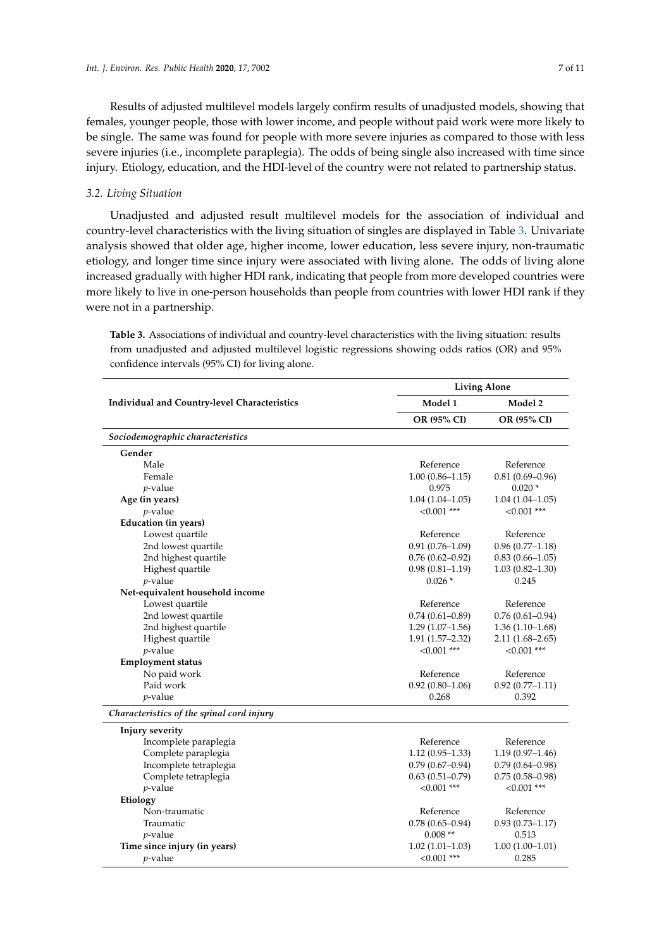Results of adjusted multilevel models largely confirm results of unadjusted models, showing that females, younger people, those with lower income, and people without paid work were more likely to be single. The same was found for people with more severe injuries as compared to those with less severe injuries (i.e., incomplete paraplegia). The odds of being single also increased with time since injury. Etiology, education, and the HDI-level of the country were not related to partnership status.

# *3.2. Living Situation*

Unadjusted and adjusted result multilevel models for the association of individual and country-level characteristics with the living situation of singles are displayed in Table [3.](#page-7-0) Univariate analysis showed that older age, higher income, lower education, less severe injury, non-traumatic etiology, and longer time since injury were associated with living alone. The odds of living alone increased gradually with higher HDI rank, indicating that people from more developed countries were more likely to live in one-person households than people from countries with lower HDI rank if they were not in a partnership.

|                                              |                                  | <b>Living Alone</b>          |  |
|----------------------------------------------|----------------------------------|------------------------------|--|
| Individual and Country-level Characteristics | Model 1                          | Model 2                      |  |
|                                              | OR (95% CI)                      | OR (95% CI)                  |  |
| Sociodemographic characteristics             |                                  |                              |  |
| Gender                                       |                                  |                              |  |
| Male                                         | Reference                        | Reference                    |  |
| Female                                       | $1.00(0.86 - 1.15)$              | $0.81(0.69 - 0.96)$          |  |
| $p$ -value                                   | 0.975                            | $0.020*$                     |  |
| Age (in years)                               | $1.04(1.04 - 1.05)$              | $1.04(1.04 - 1.05)$          |  |
| $p$ -value                                   | $< 0.001$ ***                    | $< 0.001$ ***                |  |
| <b>Education</b> (in years)                  |                                  |                              |  |
| Lowest quartile                              | Reference                        | Reference                    |  |
| 2nd lowest quartile                          | $0.91(0.76 - 1.09)$              | $0.96(0.77-1.18)$            |  |
| 2nd highest quartile                         | $0.76(0.62 - 0.92)$              | $0.83(0.66 - 1.05)$          |  |
| Highest quartile                             | $0.98(0.81 - 1.19)$              | $1.03(0.82 - 1.30)$          |  |
| $p$ -value                                   | $0.026*$                         | 0.245                        |  |
| Net-equivalent household income              |                                  |                              |  |
| Lowest quartile                              | Reference                        | Reference                    |  |
| 2nd lowest quartile                          | $0.74(0.61 - 0.89)$              | $0.76(0.61 - 0.94)$          |  |
| 2nd highest quartile                         | $1.29(1.07-1.56)$                | $1.36(1.10-1.68)$            |  |
| Highest quartile                             | $1.91(1.57 - 2.32)$              | $2.11(1.68 - 2.65)$          |  |
| $p$ -value                                   | $< 0.001$ ***                    | $< 0.001$ ***                |  |
| <b>Employment status</b>                     |                                  |                              |  |
| No paid work                                 | Reference                        | Reference                    |  |
| Paid work                                    | $0.92(0.80 - 1.06)$              | $0.92(0.77 - 1.11)$          |  |
| $p$ -value                                   | 0.268                            | 0.392                        |  |
| Characteristics of the spinal cord injury    |                                  |                              |  |
| Injury severity                              |                                  |                              |  |
| Incomplete paraplegia                        | Reference                        | Reference                    |  |
| Complete paraplegia                          | $1.12(0.95 - 1.33)$              | $1.19(0.97 - 1.46)$          |  |
| Incomplete tetraplegia                       | $0.79(0.67-0.94)$                | $0.79(0.64 - 0.98)$          |  |
| Complete tetraplegia                         | $0.63(0.51-0.79)$                | $0.75(0.58 - 0.98)$          |  |
| $p$ -value                                   | $<0.001$ ***                     | $<0.001$ ***                 |  |
| Etiology                                     |                                  |                              |  |
| Non-traumatic                                | Reference                        | Reference                    |  |
| Traumatic                                    |                                  |                              |  |
|                                              | $0.78(0.65 - 0.94)$<br>$0.008**$ | $0.93(0.73 - 1.17)$<br>0.513 |  |
| $p$ -value                                   |                                  |                              |  |
| Time since injury (in years)                 | $1.02(1.01-1.03)$                | $1.00(1.00-1.01)$            |  |
| $p$ -value                                   | $< 0.001$ ***                    | 0.285                        |  |

**Table 3.** Associations of individual and country-level characteristics with the living situation: results from unadjusted and adjusted multilevel logistic regressions showing odds ratios (OR) and 95% confidence intervals (95% CI) for living alone.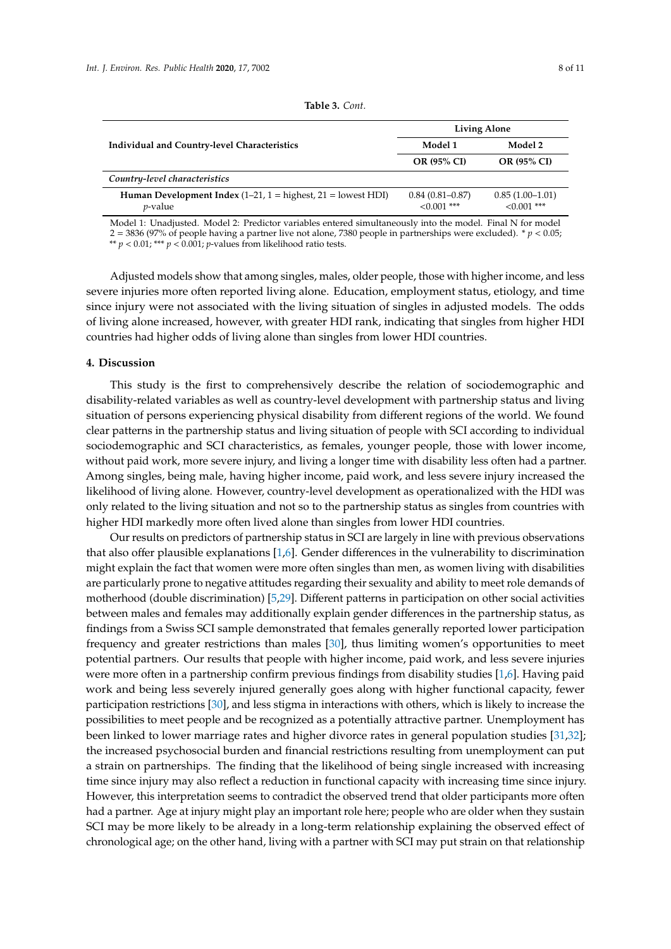<span id="page-7-0"></span>

|                                                                                       | <b>Living Alone</b>                 |                                   |
|---------------------------------------------------------------------------------------|-------------------------------------|-----------------------------------|
| Individual and Country-level Characteristics                                          | Model 1                             | Model 2                           |
|                                                                                       | <b>OR (95% CI)</b>                  | <b>OR (95% CI)</b>                |
| Country-level characteristics                                                         |                                     |                                   |
| <b>Human Development Index</b> $(1-21, 1 =$ highest, $21 =$ lowest HDI)<br>$v$ -value | $0.84(0.81 - 0.87)$<br>$<0.001$ *** | $0.85(1.00-1.01)$<br>$<0.001$ *** |

**Table 3.** *Cont.*

Model 1: Unadjusted. Model 2: Predictor variables entered simultaneously into the model. Final N for model  $2 = 3836$  (97% of people having a partner live not alone, 7380 people in partnerships were excluded). \*  $p < 0.05$ ; \*\*  $p$  < 0.01; \*\*\*  $p$  < 0.001;  $p$ -values from likelihood ratio tests.

Adjusted models show that among singles, males, older people, those with higher income, and less severe injuries more often reported living alone. Education, employment status, etiology, and time since injury were not associated with the living situation of singles in adjusted models. The odds of living alone increased, however, with greater HDI rank, indicating that singles from higher HDI countries had higher odds of living alone than singles from lower HDI countries.

## **4. Discussion**

This study is the first to comprehensively describe the relation of sociodemographic and disability-related variables as well as country-level development with partnership status and living situation of persons experiencing physical disability from different regions of the world. We found clear patterns in the partnership status and living situation of people with SCI according to individual sociodemographic and SCI characteristics, as females, younger people, those with lower income, without paid work, more severe injury, and living a longer time with disability less often had a partner. Among singles, being male, having higher income, paid work, and less severe injury increased the likelihood of living alone. However, country-level development as operationalized with the HDI was only related to the living situation and not so to the partnership status as singles from countries with higher HDI markedly more often lived alone than singles from lower HDI countries.

Our results on predictors of partnership status in SCI are largely in line with previous observations that also offer plausible explanations [\[1,](#page-9-0)[6\]](#page-9-3). Gender differences in the vulnerability to discrimination might explain the fact that women were more often singles than men, as women living with disabilities are particularly prone to negative attitudes regarding their sexuality and ability to meet role demands of motherhood (double discrimination) [\[5,](#page-9-2)[29\]](#page-10-14). Different patterns in participation on other social activities between males and females may additionally explain gender differences in the partnership status, as findings from a Swiss SCI sample demonstrated that females generally reported lower participation frequency and greater restrictions than males [\[30\]](#page-10-15), thus limiting women's opportunities to meet potential partners. Our results that people with higher income, paid work, and less severe injuries were more often in a partnership confirm previous findings from disability studies [\[1](#page-9-0)[,6\]](#page-9-3). Having paid work and being less severely injured generally goes along with higher functional capacity, fewer participation restrictions [\[30\]](#page-10-15), and less stigma in interactions with others, which is likely to increase the possibilities to meet people and be recognized as a potentially attractive partner. Unemployment has been linked to lower marriage rates and higher divorce rates in general population studies [\[31,](#page-10-16)[32\]](#page-10-17); the increased psychosocial burden and financial restrictions resulting from unemployment can put a strain on partnerships. The finding that the likelihood of being single increased with increasing time since injury may also reflect a reduction in functional capacity with increasing time since injury. However, this interpretation seems to contradict the observed trend that older participants more often had a partner. Age at injury might play an important role here; people who are older when they sustain SCI may be more likely to be already in a long-term relationship explaining the observed effect of chronological age; on the other hand, living with a partner with SCI may put strain on that relationship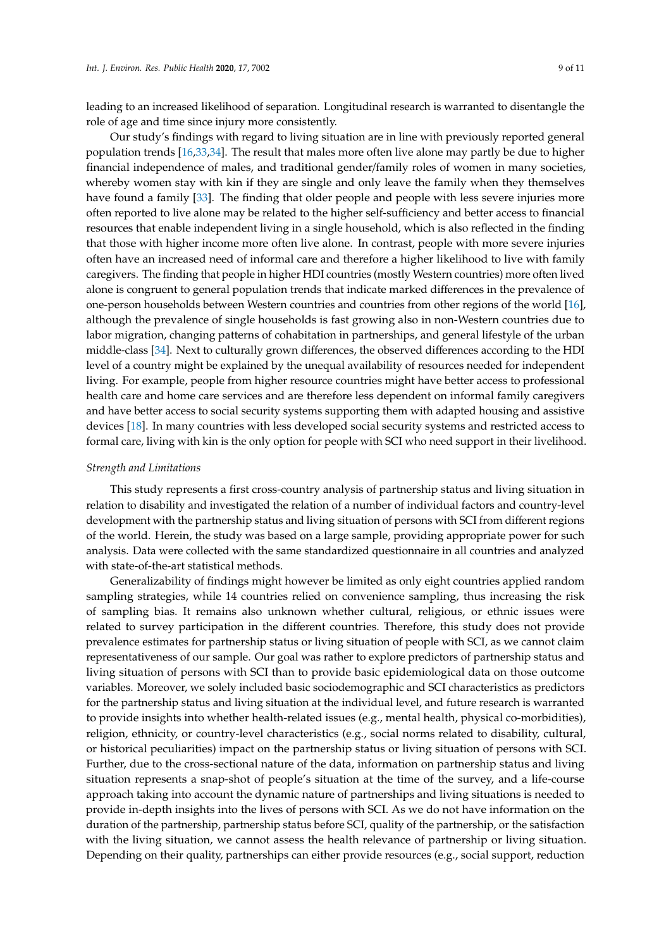leading to an increased likelihood of separation. Longitudinal research is warranted to disentangle the role of age and time since injury more consistently.

Our study's findings with regard to living situation are in line with previously reported general population trends [\[16,](#page-10-1)[33,](#page-10-18)[34\]](#page-10-19). The result that males more often live alone may partly be due to higher financial independence of males, and traditional gender/family roles of women in many societies, whereby women stay with kin if they are single and only leave the family when they themselves have found a family [\[33\]](#page-10-18). The finding that older people and people with less severe injuries more often reported to live alone may be related to the higher self-sufficiency and better access to financial resources that enable independent living in a single household, which is also reflected in the finding that those with higher income more often live alone. In contrast, people with more severe injuries often have an increased need of informal care and therefore a higher likelihood to live with family caregivers. The finding that people in higher HDI countries (mostly Western countries) more often lived alone is congruent to general population trends that indicate marked differences in the prevalence of one-person households between Western countries and countries from other regions of the world [\[16\]](#page-10-1), although the prevalence of single households is fast growing also in non-Western countries due to labor migration, changing patterns of cohabitation in partnerships, and general lifestyle of the urban middle-class [\[34\]](#page-10-19). Next to culturally grown differences, the observed differences according to the HDI level of a country might be explained by the unequal availability of resources needed for independent living. For example, people from higher resource countries might have better access to professional health care and home care services and are therefore less dependent on informal family caregivers and have better access to social security systems supporting them with adapted housing and assistive devices [\[18\]](#page-10-3). In many countries with less developed social security systems and restricted access to formal care, living with kin is the only option for people with SCI who need support in their livelihood.

## *Strength and Limitations*

This study represents a first cross-country analysis of partnership status and living situation in relation to disability and investigated the relation of a number of individual factors and country-level development with the partnership status and living situation of persons with SCI from different regions of the world. Herein, the study was based on a large sample, providing appropriate power for such analysis. Data were collected with the same standardized questionnaire in all countries and analyzed with state-of-the-art statistical methods.

Generalizability of findings might however be limited as only eight countries applied random sampling strategies, while 14 countries relied on convenience sampling, thus increasing the risk of sampling bias. It remains also unknown whether cultural, religious, or ethnic issues were related to survey participation in the different countries. Therefore, this study does not provide prevalence estimates for partnership status or living situation of people with SCI, as we cannot claim representativeness of our sample. Our goal was rather to explore predictors of partnership status and living situation of persons with SCI than to provide basic epidemiological data on those outcome variables. Moreover, we solely included basic sociodemographic and SCI characteristics as predictors for the partnership status and living situation at the individual level, and future research is warranted to provide insights into whether health-related issues (e.g., mental health, physical co-morbidities), religion, ethnicity, or country-level characteristics (e.g., social norms related to disability, cultural, or historical peculiarities) impact on the partnership status or living situation of persons with SCI. Further, due to the cross-sectional nature of the data, information on partnership status and living situation represents a snap-shot of people's situation at the time of the survey, and a life-course approach taking into account the dynamic nature of partnerships and living situations is needed to provide in-depth insights into the lives of persons with SCI. As we do not have information on the duration of the partnership, partnership status before SCI, quality of the partnership, or the satisfaction with the living situation, we cannot assess the health relevance of partnership or living situation. Depending on their quality, partnerships can either provide resources (e.g., social support, reduction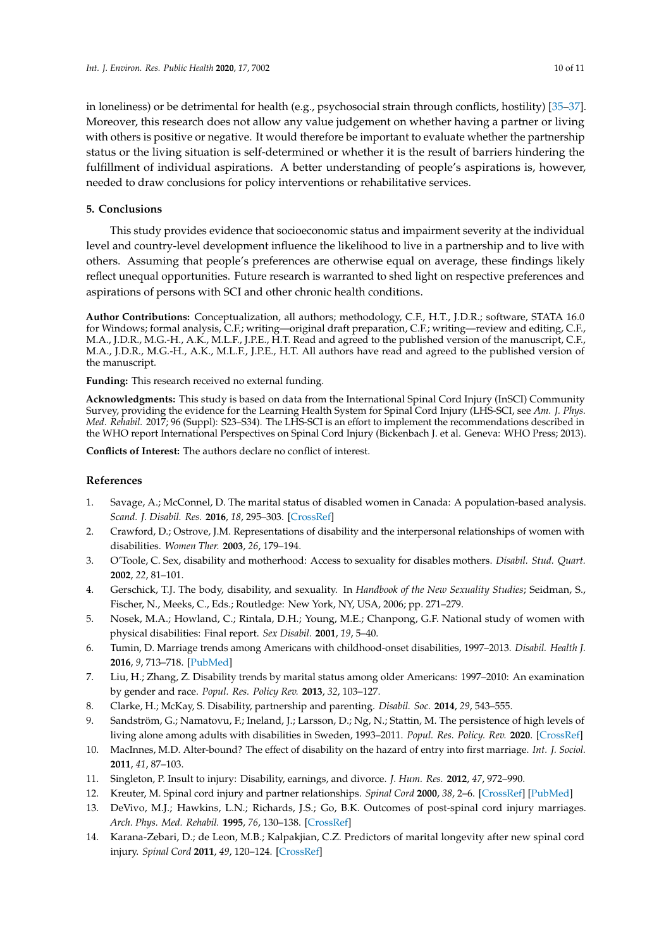in loneliness) or be detrimental for health (e.g., psychosocial strain through conflicts, hostility) [\[35–](#page-10-20)[37\]](#page-10-21). Moreover, this research does not allow any value judgement on whether having a partner or living with others is positive or negative. It would therefore be important to evaluate whether the partnership status or the living situation is self-determined or whether it is the result of barriers hindering the fulfillment of individual aspirations. A better understanding of people's aspirations is, however, needed to draw conclusions for policy interventions or rehabilitative services.

# **5. Conclusions**

This study provides evidence that socioeconomic status and impairment severity at the individual level and country-level development influence the likelihood to live in a partnership and to live with others. Assuming that people's preferences are otherwise equal on average, these findings likely reflect unequal opportunities. Future research is warranted to shed light on respective preferences and aspirations of persons with SCI and other chronic health conditions.

**Author Contributions:** Conceptualization, all authors; methodology, C.F., H.T., J.D.R.; software, STATA 16.0 for Windows; formal analysis, C.F.; writing—original draft preparation, C.F.; writing—review and editing, C.F., M.A., J.D.R., M.G.-H., A.K., M.L.F., J.P.E., H.T. Read and agreed to the published version of the manuscript, C.F., M.A., J.D.R., M.G.-H., A.K., M.L.F., J.P.E., H.T. All authors have read and agreed to the published version of the manuscript.

**Funding:** This research received no external funding.

**Acknowledgments:** This study is based on data from the International Spinal Cord Injury (InSCI) Community Survey, providing the evidence for the Learning Health System for Spinal Cord Injury (LHS-SCI, see *Am. J. Phys. Med. Rehabil.* 2017; 96 (Suppl): S23–S34). The LHS-SCI is an effort to implement the recommendations described in the WHO report International Perspectives on Spinal Cord Injury (Bickenbach J. et al. Geneva: WHO Press; 2013).

**Conflicts of Interest:** The authors declare no conflict of interest.

## **References**

- <span id="page-9-0"></span>1. Savage, A.; McConnel, D. The marital status of disabled women in Canada: A population-based analysis. *Scand. J. Disabil. Res.* **2016**, *18*, 295–303. [\[CrossRef\]](http://dx.doi.org/10.1080/15017419.2015.1081616)
- <span id="page-9-1"></span>2. Crawford, D.; Ostrove, J.M. Representations of disability and the interpersonal relationships of women with disabilities. *Women Ther.* **2003**, *26*, 179–194.
- 3. O'Toole, C. Sex, disability and motherhood: Access to sexuality for disables mothers. *Disabil. Stud. Quart.* **2002**, *22*, 81–101.
- 4. Gerschick, T.J. The body, disability, and sexuality. In *Handbook of the New Sexuality Studies*; Seidman, S., Fischer, N., Meeks, C., Eds.; Routledge: New York, NY, USA, 2006; pp. 271–279.
- <span id="page-9-2"></span>5. Nosek, M.A.; Howland, C.; Rintala, D.H.; Young, M.E.; Chanpong, G.F. National study of women with physical disabilities: Final report. *Sex Disabil.* **2001**, *19*, 5–40.
- <span id="page-9-3"></span>6. Tumin, D. Marriage trends among Americans with childhood-onset disabilities, 1997–2013. *Disabil. Health J.* **2016**, *9*, 713–718. [\[PubMed\]](http://www.ncbi.nlm.nih.gov/pubmed/27265773)
- 7. Liu, H.; Zhang, Z. Disability trends by marital status among older Americans: 1997–2010: An examination by gender and race. *Popul. Res. Policy Rev.* **2013**, *32*, 103–127.
- <span id="page-9-7"></span>8. Clarke, H.; McKay, S. Disability, partnership and parenting. *Disabil. Soc.* **2014**, *29*, 543–555.
- <span id="page-9-8"></span>9. Sandström, G.; Namatovu, F.; Ineland, J.; Larsson, D.; Ng, N.; Stattin, M. The persistence of high levels of living alone among adults with disabilities in Sweden, 1993–2011. *Popul. Res. Policy. Rev.* **2020**. [\[CrossRef\]](http://dx.doi.org/10.1007/s11113-020-09570-2)
- <span id="page-9-4"></span>10. MacInnes, M.D. Alter-bound? The effect of disability on the hazard of entry into first marriage. *Int. J. Sociol.* **2011**, *41*, 87–103.
- <span id="page-9-5"></span>11. Singleton, P. Insult to injury: Disability, earnings, and divorce. *J. Hum. Res.* **2012**, *47*, 972–990.
- <span id="page-9-9"></span>12. Kreuter, M. Spinal cord injury and partner relationships. *Spinal Cord* **2000**, *38*, 2–6. [\[CrossRef\]](http://dx.doi.org/10.1038/sj.sc.3100933) [\[PubMed\]](http://www.ncbi.nlm.nih.gov/pubmed/10762191)
- 13. DeVivo, M.J.; Hawkins, L.N.; Richards, J.S.; Go, B.K. Outcomes of post-spinal cord injury marriages. *Arch. Phys. Med. Rehabil.* **1995**, *76*, 130–138. [\[CrossRef\]](http://dx.doi.org/10.1016/S0003-9993(95)80022-0)
- <span id="page-9-6"></span>14. Karana-Zebari, D.; de Leon, M.B.; Kalpakjian, C.Z. Predictors of marital longevity after new spinal cord injury. *Spinal Cord* **2011**, *49*, 120–124. [\[CrossRef\]](http://dx.doi.org/10.1038/sc.2010.63)